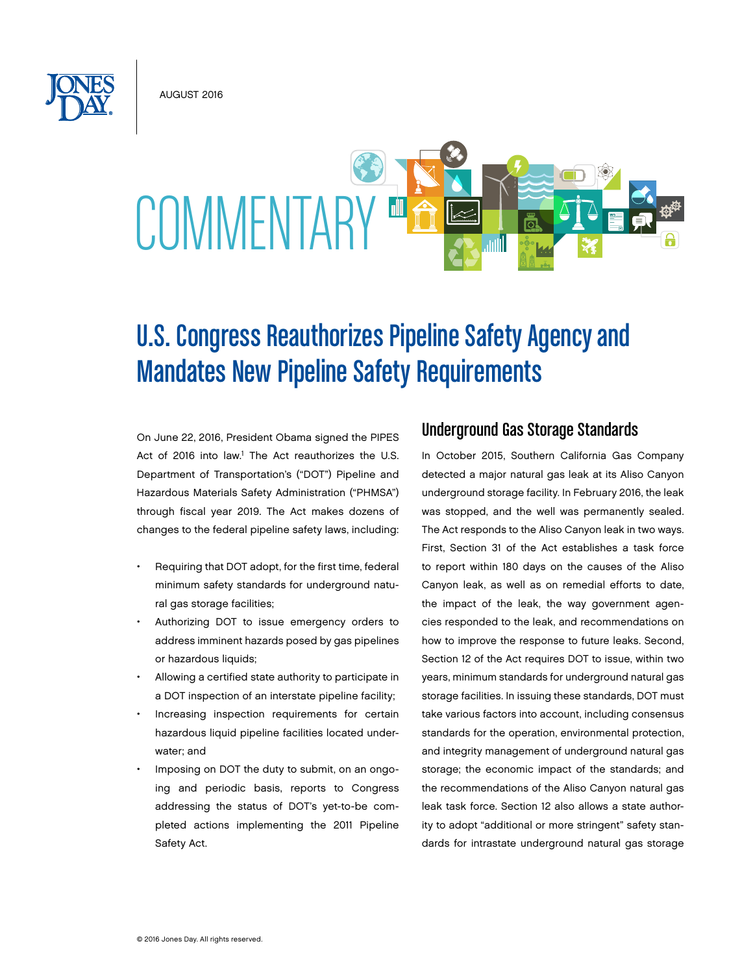August 2016



# U.S. Congress Reauthorizes Pipeline Safety Agency and Mandates New Pipeline Safety Requirements

On June 22, 2016, President Obama signed the PIPES Act of 2016 into law.<sup>1</sup> The Act reauthorizes the U.S. Department of Transportation's ("DOT") Pipeline and Hazardous Materials Safety Administration ("PHMSA") through fiscal year 2019. The Act makes dozens of changes to the federal pipeline safety laws, including:

- Requiring that DOT adopt, for the first time, federal minimum safety standards for underground natural gas storage facilities;
- Authorizing DOT to issue emergency orders to address imminent hazards posed by gas pipelines or hazardous liquids;
- Allowing a certified state authority to participate in a DOT inspection of an interstate pipeline facility;
- Increasing inspection requirements for certain hazardous liquid pipeline facilities located underwater; and
- Imposing on DOT the duty to submit, on an ongoing and periodic basis, reports to Congress addressing the status of DOT's yet-to-be completed actions implementing the 2011 Pipeline Safety Act.

# Underground Gas Storage Standards

In October 2015, Southern California Gas Company detected a major natural gas leak at its Aliso Canyon underground storage facility. In February 2016, the leak was stopped, and the well was permanently sealed. The Act responds to the Aliso Canyon leak in two ways. First, Section 31 of the Act establishes a task force to report within 180 days on the causes of the Aliso Canyon leak, as well as on remedial efforts to date, the impact of the leak, the way government agencies responded to the leak, and recommendations on how to improve the response to future leaks. Second, Section 12 of the Act requires DOT to issue, within two years, minimum standards for underground natural gas storage facilities. In issuing these standards, DOT must take various factors into account, including consensus standards for the operation, environmental protection, and integrity management of underground natural gas storage; the economic impact of the standards; and the recommendations of the Aliso Canyon natural gas leak task force. Section 12 also allows a state authority to adopt "additional or more stringent" safety standards for intrastate underground natural gas storage